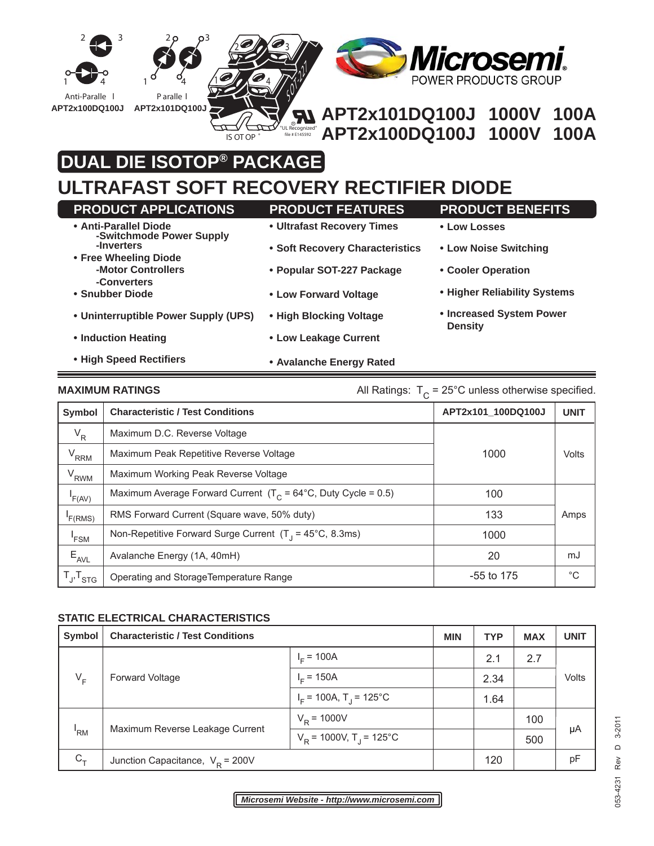

# **DUAL DIE ISOTOP® PACKAGE**

## **ULTRAFAST SOFT RECOVERY RECTIFIER DIODE**

| <b>PRODUCT APPLICATIONS</b>                       | <b>PRODUCT FEATURES</b>         | <b>PRODUCT BENEFITS</b>                    |
|---------------------------------------------------|---------------------------------|--------------------------------------------|
| • Anti-Parallel Diode<br>-Switchmode Power Supply | • Ultrafast Recovery Times      | • Low Losses                               |
| -Inverters<br>• Free Wheeling Diode               | • Soft Recovery Characteristics | • Low Noise Switching                      |
| -Motor Controllers<br>-Converters                 | • Popular SOT-227 Package       | • Cooler Operation                         |
| • Snubber Diode                                   | • Low Forward Voltage           | • Higher Reliability Systems               |
| • Uninterruptible Power Supply (UPS)              | • High Blocking Voltage         | • Increased System Power<br><b>Density</b> |
| • Induction Heating                               | • Low Leakage Current           |                                            |
| • High Speed Rectifiers                           | • Avalanche Energy Rated        |                                            |

### **MAXIMUM RATINGS** MAXIMUM RATINGS All Ratings:  $T_c = 25^\circ \text{C}$  unless otherwise specified.

| Symbol              | <b>Characteristic / Test Conditions</b>                                   | APT2x101_100DQ100J | <b>UNIT</b> |
|---------------------|---------------------------------------------------------------------------|--------------------|-------------|
| $V_R$               | Maximum D.C. Reverse Voltage                                              |                    |             |
| $V_{RRM}$           | Maximum Peak Repetitive Reverse Voltage                                   | 1000               | Volts       |
| $V_{RWM}$           | Maximum Working Peak Reverse Voltage                                      |                    |             |
| F(AV)               | Maximum Average Forward Current $(T_c = 64^{\circ}C,$ Duty Cycle = 0.5)   | 100                |             |
| F(RMS)              | RMS Forward Current (Square wave, 50% duty)                               | 133                | Amps        |
| <sup>'</sup> FSM    | Non-Repetitive Forward Surge Current $(T_1 = 45^{\circ}C, 8.3 \text{ms})$ | 1000               |             |
| $E_{AVL}$           | Avalanche Energy (1A, 40mH)                                               | 20                 | mJ          |
| $T_{J}$ , $T_{STG}$ | Operating and StorageTemperature Range                                    | $-55$ to 175       | $^{\circ}C$ |

#### **STATIC ELECTRICAL CHARACTERISTICS**

| Symbol  | <b>Characteristic / Test Conditions</b> |                                                | <b>MIN</b> | <b>TYP</b> | <b>MAX</b> | <b>UNIT</b> |
|---------|-----------------------------------------|------------------------------------------------|------------|------------|------------|-------------|
| $V_F$   | <b>Forward Voltage</b>                  | $I_F = 100A$                                   |            | 2.1        | 2.7        | Volts       |
|         |                                         | $I_{F}$ = 150A                                 |            | 2.34       |            |             |
|         |                                         | $I_F$ = 100A, T <sub>J</sub> = 125°C           |            | 1.64       |            |             |
| 'RM     | Maximum Reverse Leakage Current         | $V_R$ = 1000V                                  |            |            | 100        | μA          |
|         |                                         | $V_{\text{p}}$ = 1000V, T <sub>1</sub> = 125°C |            |            | 500        |             |
| $C_{T}$ | Junction Capacitance, $V_R$ = 200V      |                                                |            | 120        |            | pF          |

D 3-2011 053-4231 Rev D 3-2011 053-4231 Rev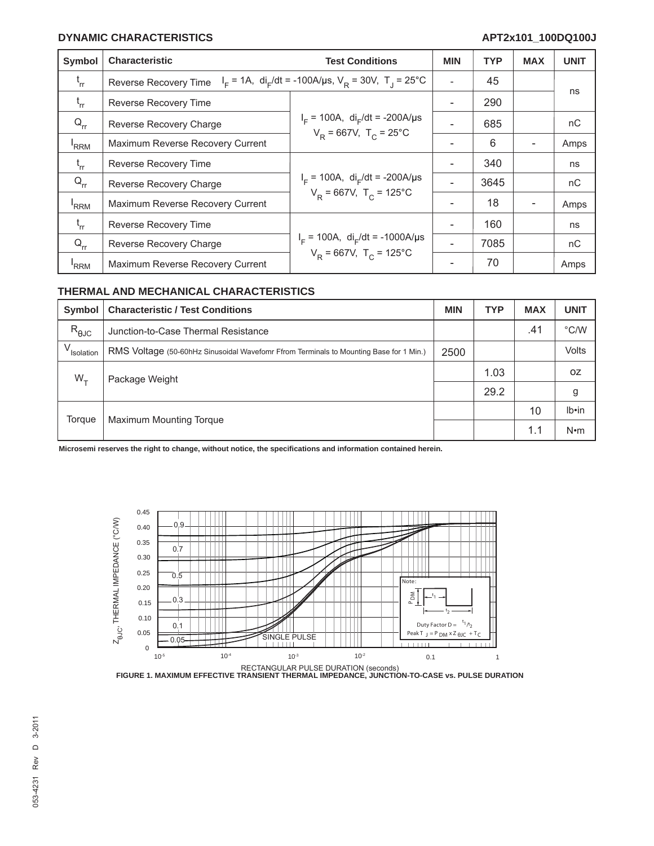#### **DYNAMIC CHARACTERISTICS APT2x101\_100DQ100J**

| Symbol           | <b>Characteristic</b>                                                                                             | <b>Test Conditions</b>                                                                      | <b>MIN</b> | <b>TYP</b> | <b>MAX</b> | <b>UNIT</b> |
|------------------|-------------------------------------------------------------------------------------------------------------------|---------------------------------------------------------------------------------------------|------------|------------|------------|-------------|
| $t_{rr}$         | $I_F = 1A$ , di <sub>F</sub> /dt = -100A/us, V <sub>R</sub> = 30V, T <sub>1</sub> = 25°C<br>Reverse Recovery Time |                                                                                             |            | 45         |            |             |
| $t_{rr}$         | Reverse Recovery Time                                                                                             | $I_F$ = 100A, di <sub>F</sub> /dt = -200A/µs<br>$V_R = 667V$ , T <sub>c</sub> = 25°C        |            | 290        |            | ns          |
| $Q_{rr}$         | Reverse Recovery Charge                                                                                           |                                                                                             |            | 685        |            | nC          |
| <sup>'</sup> RRM | Maximum Reverse Recovery Current                                                                                  |                                                                                             |            | 6          |            | Amps        |
| $t_{rr}$         | Reverse Recovery Time                                                                                             | $I_F$ = 100A, di <sub>F</sub> /dt = -200A/µs<br>$V_{\rm p}$ = 667V, T <sub>c</sub> = 125°C  |            | 340        |            | ns          |
| $Q_{rr}$         | Reverse Recovery Charge                                                                                           |                                                                                             |            | 3645       |            | nC          |
| 'RRM             | Maximum Reverse Recovery Current                                                                                  |                                                                                             |            | 18         |            | Amps        |
| $t_{rr}$         | Reverse Recovery Time                                                                                             | $I_F$ = 100A, di <sub>F</sub> /dt = -1000A/µs<br>$V_{\rm p}$ = 667V, T <sub>c</sub> = 125°C |            | 160        |            | ns          |
| $Q_{rr}$         | Reverse Recovery Charge                                                                                           |                                                                                             |            | 7085       |            | nC          |
| 'RRM             | Maximum Reverse Recovery Current                                                                                  |                                                                                             |            | 70         |            | Amps        |

#### **THERMAL AND MECHANICAL CHARACTERISTICS**

| Symbol                 | <b>Characteristic / Test Conditions</b>                                                | <b>MIN</b> | <b>TYP</b> | <b>MAX</b> | <b>UNIT</b>   |
|------------------------|----------------------------------------------------------------------------------------|------------|------------|------------|---------------|
| $R_{\theta$ JC         | Junction-to-Case Thermal Resistance                                                    |            |            | .41        | $\degree$ C/W |
| V <sub>Isolation</sub> | RMS Voltage (50-60hHz Sinusoidal Wavefomr Ffrom Terminals to Mounting Base for 1 Min.) | 2500       |            |            | <b>Volts</b>  |
| $W_{\tau}$             | Package Weight                                                                         |            | 1.03       |            | 0Z            |
|                        |                                                                                        |            | 29.2       |            | g             |
| Torque                 | Maximum Mounting Torque                                                                |            |            | 10         | $Ib \cdot in$ |
|                        |                                                                                        |            |            | 1.1        | $N \cdot m$   |

**Microsemi reserves the right to change, without notice, the specifi cations and information contained herein.**



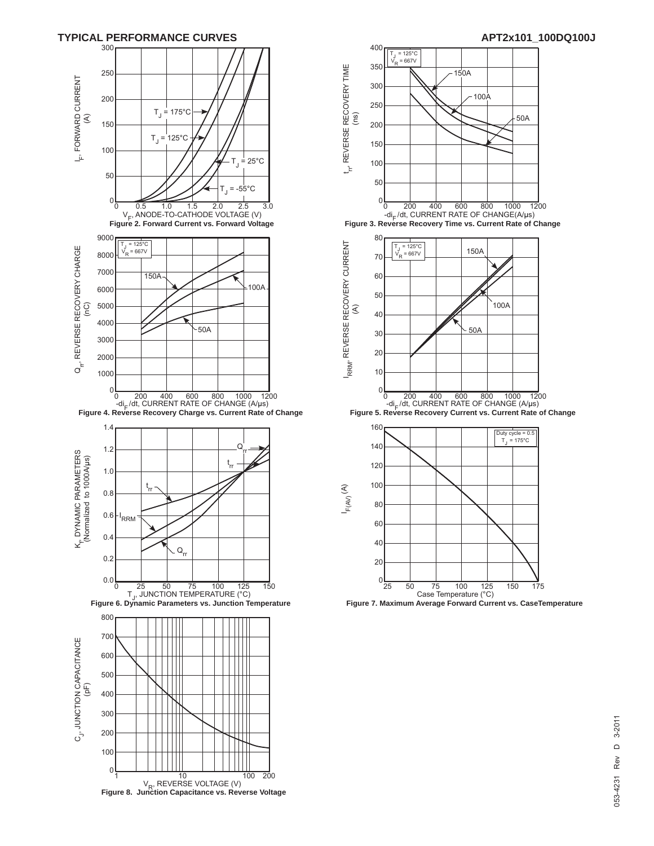